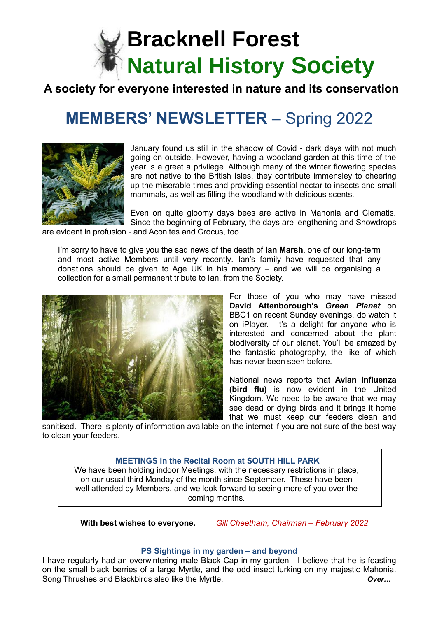

# **A society for everyone interested in nature and its conservation**

# **MEMBERS' NEWSLETTER** – Spring 2022



January found us still in the shadow of Covid - dark days with not much going on outside. However, having a woodland garden at this time of the year is a great a privilege. Although many of the winter flowering species are not native to the British Isles, they contribute immensley to cheering up the miserable times and providing essential nectar to insects and small mammals, as well as filling the woodland with delicious scents.

Even on quite gloomy days bees are active in Mahonia and Clematis. Since the beginning of February, the days are lengthening and Snowdrops are evident in profusion - and Aconites and Crocus, too.

I'm sorry to have to give you the sad news of the death of **Ian Marsh**, one of our long-term and most active Members until very recently. Ian's family have requested that any donations should be given to Age UK in his memory – and we will be organising a collection for a small permanent tribute to Ian, from the Society.



For those of you who may have missed **David Attenborough's** *Green Planet* on BBC1 on recent Sunday evenings, do watch it on iPlayer. It's a delight for anyone who is interested and concerned about the plant biodiversity of our planet. You'll be amazed by the fantastic photography, the like of which has never been seen before.

National news reports that **Avian Influenza (bird flu)** is now evident in the United Kingdom. We need to be aware that we may see dead or dying birds and it brings it home that we must keep our feeders clean and

sanitised. There is plenty of information available on the internet if you are not sure of the best way to clean your feeders.

### **MEETINGS in the Recital Room at SOUTH HILL PARK**

We have been holding indoor Meetings, with the necessary restrictions in place, on our usual third Monday of the month since September. These have been well attended by Members, and we look forward to seeing more of you over the coming months.

 **With best wishes to everyone.** *Gill Cheetham, Chairman – February 2022*

#### **PS Sightings in my garden – and beyond**

I have regularly had an overwintering male Black Cap in my garden - I believe that he is feasting on the small black berries of a large Myrtle, and the odd insect lurking on my majestic Mahonia. Song Thrushes and Blackbirds also like the Myrtle. *Over…*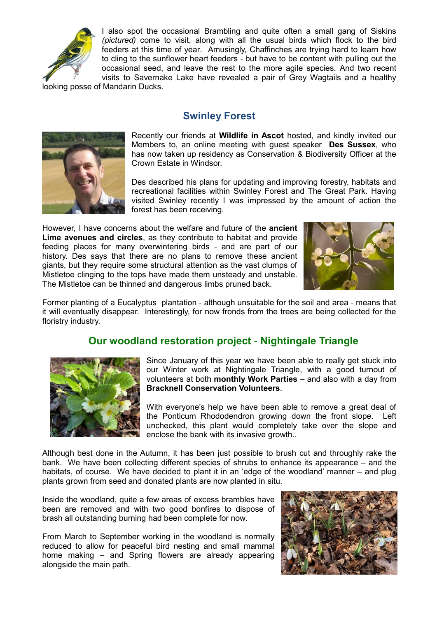

I also spot the occasional Brambling and quite often a small gang of Siskins *(pictured)* come to visit, along with all the usual birds which flock to the bird feeders at this time of year. Amusingly, Chaffinches are trying hard to learn how to cling to the sunflower heart feeders - but have to be content with pulling out the occasional seed, and leave the rest to the more agile species. And two recent visits to Savernake Lake have revealed a pair of Grey Wagtails and a healthy

looking posse of Mandarin Ducks.

# **Swinley Forest**



Recently our friends at **Wildlife in Ascot** hosted, and kindly invited our Members to, an online meeting with guest speaker **Des Sussex**, who has now taken up residency as Conservation & Biodiversity Officer at the Crown Estate in Windsor.

Des described his plans for updating and improving forestry, habitats and recreational facilities within Swinley Forest and The Great Park. Having visited Swinley recently I was impressed by the amount of action the forest has been receiving.

However, I have concerns about the welfare and future of the **ancient Lime avenues and circles**, as they contribute to habitat and provide feeding places for many overwintering birds - and are part of our history. Des says that there are no plans to remove these ancient giants, but they require some structural attention as the vast clumps of Mistletoe clinging to the tops have made them unsteady and unstable. The Mistletoe can be thinned and dangerous limbs pruned back.



Former planting of a Eucalyptus plantation - although unsuitable for the soil and area - means that it will eventually disappear. Interestingly, for now fronds from the trees are being collected for the floristry industry.

# **Our woodland restoration project - Nightingale Triangle**



Since January of this year we have been able to really get stuck into our Winter work at Nightingale Triangle, with a good turnout of volunteers at both **monthly Work Parties** – and also with a day from **Bracknell Conservation Volunteers**.

With everyone's help we have been able to remove a great deal of the Ponticum Rhododendron growing down the front slope. Left unchecked, this plant would completely take over the slope and enclose the bank with its invasive growth..

Although best done in the Autumn, it has been just possible to brush cut and throughly rake the bank. We have been collecting different species of shrubs to enhance its appearance – and the habitats, of course. We have decided to plant it in an 'edge of the woodland' manner – and plug plants grown from seed and donated plants are now planted in situ.

Inside the woodland, quite a few areas of excess brambles have been are removed and with two good bonfires to dispose of brash all outstanding burning had been complete for now.

From March to September working in the woodland is normally reduced to allow for peaceful bird nesting and small mammal home making – and Spring flowers are already appearing alongside the main path.

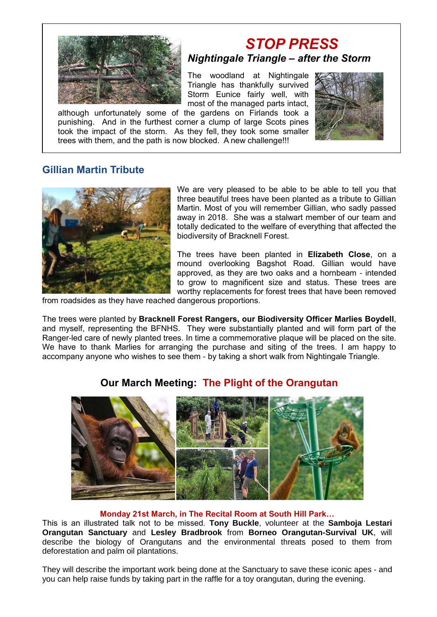

# *STOP PRESS Nightingale Triangle – after the Storm*

The woodland at Nightingale Triangle has thankfully survived Storm Eunice fairly well, with most of the managed parts intact,

although unfortunately some of the gardens on Firlands took a punishing. And in the furthest corner a clump of large Scots pines took the impact of the storm. As they fell, they took some smaller trees with them, and the path is now blocked. A new challenge!!!



## **Gillian Martin Tribute**



We are very pleased to be able to be able to tell you that three beautiful trees have been planted as a tribute to Gillian Martin. Most of you will remember Gillian, who sadly passed away in 2018. She was a stalwart member of our team and totally dedicated to the welfare of everything that affected the biodiversity of Bracknell Forest.

The trees have been planted in **Elizabeth Close**, on a mound overlooking Bagshot Road. Gillian would have approved, as they are two oaks and a hornbeam - intended to grow to magnificent size and status. These trees are worthy replacements for forest trees that have been removed

from roadsides as they have reached dangerous proportions.

The trees were planted by **Bracknell Forest Rangers, our Biodiversity Officer Marlies Boydell**, and myself, representing the BFNHS. They were substantially planted and will form part of the Ranger-led care of newly planted trees. In time a commemorative plaque will be placed on the site. We have to thank Marlies for arranging the purchase and siting of the trees. I am happy to accompany anyone who wishes to see them - by taking a short walk from Nightingale Triangle.



# **Our March Meeting: The Plight of the Orangutan**

#### **Monday 21st March, in The Recital Room at South Hill Park…**

This is an illustrated talk not to be missed. **Tony Buckle**, volunteer at the **Samboja Lestari Orangutan Sanctuary** and **Lesley Bradbrook** from **Borneo Orangutan-Survival UK**, will describe the biology of Orangutans and the environmental threats posed to them from deforestation and palm oil plantations.

They will describe the important work being done at the Sanctuary to save these iconic apes - and you can help raise funds by taking part in the raffle for a toy orangutan, during the evening.